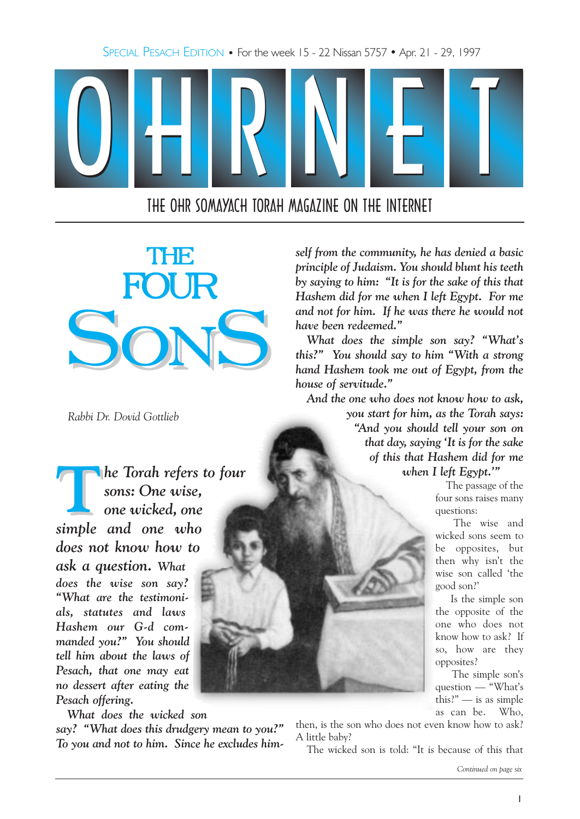SPECIAL PESACH EDITION • For the week 15 - 22 Nissan 5757 • Apr. 21 - 29, 1997



THE OHR SOMAYACH TORAH MAGAZINE ON THE INTERNET



Rabbi Dr. Dovid Gottlieb

**The Torah refers to four** sons: One wise, one wicked, one simple and one who does not know how to ask a question. What does the wise son say? What are the testimonials, statutes and laws Hashem our G-d commanded you?" You should tell him about the laws of Pesach, that one may eat no dessert after eating the Pesach offering.

What does the wicked son

say? "What does this drudgery mean to you?" To you and not to him. Since he excludes him-

self from the community, he has denied a basic principle of Judaism. You should blunt his teeth by saying to him: "It is for the sake of this that Hashem did for me when I left Egypt. For me and not for him. If he was there he would not have been redeemed.

What does the simple son say? "What's this?" You should say to him "With a strong" hand Hashem took me out of Egypt, from the house of servitude."

And the one who does not know how to ask, you start for him, as the Torah says: And you should tell your son on that day, saying It is for the sake of this that Hashem did for me when I left Egypt."

> The passage of the four sons raises many questions:

The wise and wicked sons seem to be opposites, but then why isn't the wise son called 'the good son?

Is the simple son the opposite of the one who does not know how to ask? If so, how are they opposites?

The simple son's question — "What's this?" $-$  is as simple as can be. Who,

then, is the son who does not even know how to ask? A little baby?

The wicked son is told: "It is because of this that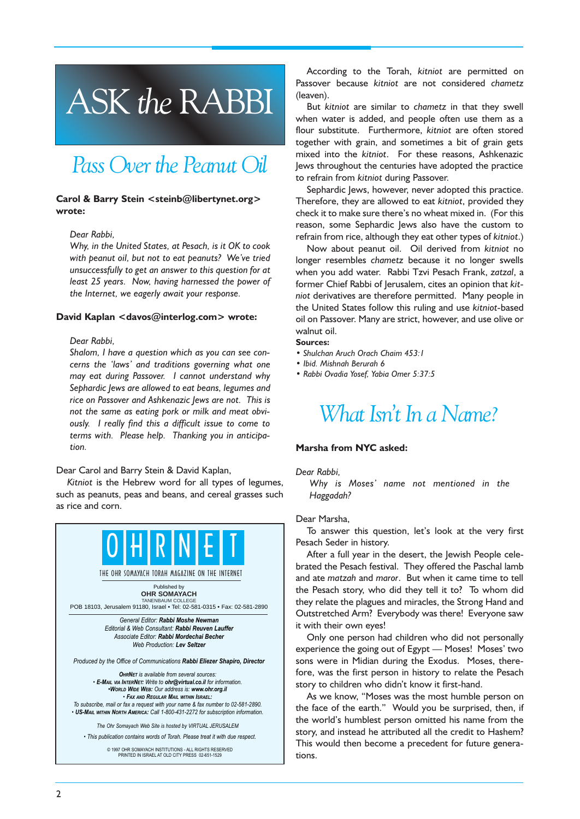# ASK the RABBI

# Pass Over the Peanut Oil

### Carol & Barry Stein <steinb@libertynet.org> wrote:

### Dear Rabbi,

Why, in the United States, at Pesach, is it OK to cook with peanut oil, but not to eat peanuts? We've tried unsuccessfully to get an answer to this question for at least 25 years. Now, having harnessed the power of the Internet, we eagerly await your response.

### David Kaplan <davos@interlog.com> wrote:

### Dear Rabbi,

Shalom, I have a question which as you can see concerns the 'laws' and traditions governing what one may eat during Passover. I cannot understand why Sephardic Jews are allowed to eat beans, legumes and rice on Passover and Ashkenazic Jews are not. This is not the same as eating pork or milk and meat obviously. I really find this a difficult issue to come to terms with. Please help. Thanking you in anticipation.

Dear Carol and Barry Stein & David Kaplan,

Kitniot is the Hebrew word for all types of legumes, such as peanuts, peas and beans, and cereal grasses such as rice and corn.



© 1997 OHR SOMAYACH INSTITUTIONS - ALL RIGHTS RESERVED PRINTED IN ISRAEL AT OLD CITY PRESS 02-651-1529

According to the Torah, kitniot are permitted on Passover because kitniot are not considered chametz (leaven).

But kitniot are similar to chametz in that they swell when water is added, and people often use them as a flour substitute. Furthermore, kitniot are often stored together with grain, and sometimes a bit of grain gets mixed into the kitniot. For these reasons, Ashkenazic Jews throughout the centuries have adopted the practice to refrain from kitniot during Passover.

Sephardic Jews, however, never adopted this practice. Therefore, they are allowed to eat kitniot, provided they check it to make sure there's no wheat mixed in. (For this reason, some Sephardic Jews also have the custom to refrain from rice, although they eat other types of kitniot.)

Now about peanut oil. Oil derived from kitniot no longer resembles chametz because it no longer swells when you add water. Rabbi Tzvi Pesach Frank, zatzal, a former Chief Rabbi of Jerusalem, cites an opinion that kitniot derivatives are therefore permitted. Many people in the United States follow this ruling and use kitniot-based oil on Passover. Many are strict, however, and use olive or walnut oil.

Sources:

- Shulchan Aruch Orach Chaim 453:1
- Ibid. Mishnah Berurah 6
- Rabbi Ovadia Yosef, Yabia Omer 5:37:5

# What Isn't In a Name?

### Marsha from NYC asked:

#### Dear Rabbi,

Why is Moses' name not mentioned in the Haggadah?

### Dear Marsha,

To answer this question, let's look at the very first Pesach Seder in history.

After a full year in the desert, the Jewish People celebrated the Pesach festival. They offered the Paschal lamb and ate matzah and maror. But when it came time to tell the Pesach story, who did they tell it to? To whom did they relate the plagues and miracles, the Strong Hand and Outstretched Arm? Everybody was there! Everyone saw it with their own eyes!

Only one person had children who did not personally experience the going out of Egypt — Moses! Moses' two sons were in Midian during the Exodus. Moses, therefore, was the first person in history to relate the Pesach story to children who didn't know it first-hand.

As we know, "Moses was the most humble person on the face of the earth." Would you be surprised, then, if the world's humblest person omitted his name from the story, and instead he attributed all the credit to Hashem? This would then become a precedent for future generations.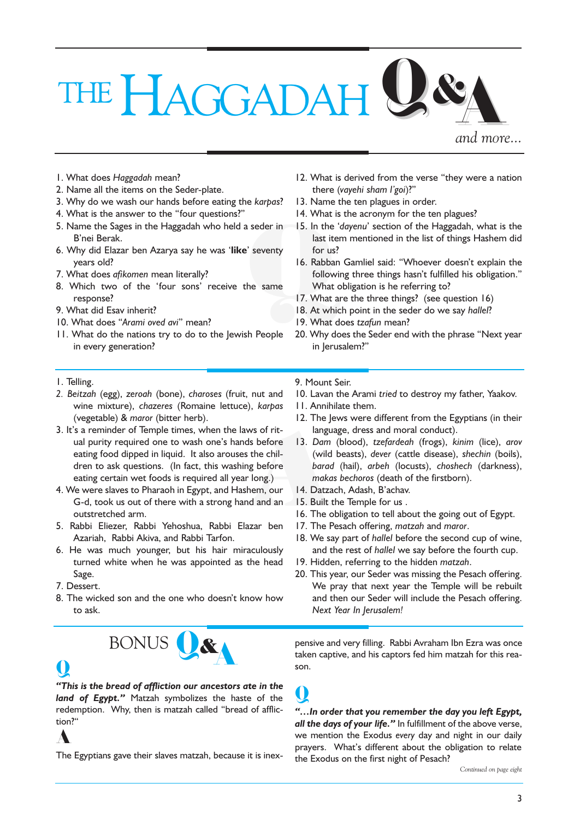# THE HAGGADAH U & A

and more...

- 1. What does Haggadah mean?
- 2. Name all the items on the Seder-plate.
- 3. Why do we wash our hands before eating the karpas?
- 4. What is the answer to the "four questions?"
- 5. Name the Sages in the Haggadah who held a seder in B'nei Berak.
- 6. Why did Elazar ben Azarya say he was 'like' seventy years old?
- 7. What does afikomen mean literally?
- 8. Which two of the 'four sons' receive the same response?
- 9. What did Esav inherit?
- 10. What does "Arami oved avi" mean?
- 11. What do the nations try to do to the Jewish People in every generation?
- 12. What is derived from the verse "they were a nation there (vayehi sham l'goi)?"
- 13. Name the ten plagues in order.
- 14. What is the acronym for the ten plagues?
- 15. In the 'dayenu' section of the Haggadah, what is the last item mentioned in the list of things Hashem did for us?
- Seder in 15. In the last it<br>
ast it is<br>
<br>
Seventy for us<br>
16. Rabba<br>
follow<br>
he same Vhat<br>
17. What<br>
18. At wh<br>
19. What 16. Rabban Gamliel said: "Whoever doesn't explain the following three things hasn't fulfilled his obligation." What obligation is he referring to?
	- 17. What are the three things? (see question 16)
	- 18. At which point in the seder do we say hallel?
	- 19. What does tzafun mean?
	- 20. Why does the Seder end with the phrase "Next year in Jerusalem?

- 1. Telling.
- 2. Beitzah (egg), zeroah (bone), charoses (fruit, nut and wine mixture), chazeres (Romaine lettuce), karpas (vegetable) & maror (bitter herb).
- 3. It's a reminder of Temple times, when the laws of ritual purity required one to wash one's hands before eating food dipped in liquid. It also arouses the children to ask questions. (In fact, this washing before eating certain wet foods is required all year long.)
- 4. We were slaves to Pharaoh in Egypt, and Hashem, our G-d, took us out of there with a strong hand and an outstretched arm.
- 5. Rabbi Eliezer, Rabbi Yehoshua, Rabbi Elazar ben Azariah, Rabbi Akiva, and Rabbi Tarfon.
- 6. He was much younger, but his hair miraculously turned white when he was appointed as the head Sage.
- 7. Dessert.
- 8. The wicked son and the one who doesn't know how to ask.

# U&A BONUS

# $\boldsymbol{\mathsf{Q}}$

This is the bread of affliction our ancestors ate in the land of Egypt." Matzah symbolizes the haste of the redemption. Why, then is matzah called "bread of affliction?

## A

The Egyptians gave their slaves matzah, because it is inex-

9. Mount Seir.

 $\bf{U}$ 

- 10. Lavan the Arami tried to destroy my father, Yaakov.
- 11. Annihilate them.
- 12. The Jews were different from the Egyptians (in their language, dress and moral conduct).
- s before 13. Dam<br>the chil-<br>g before barace<br>long.) make<br>em, our 14. Datz<br>and an 15. Built<br>16. The car ben 17. The l 13. Dam (blood), tzefardeah (frogs), kinim (lice), arov (wild beasts), dever (cattle disease), shechin (boils), barad (hail), arbeh (locusts), choshech (darkness), makas bechoros (death of the firstborn).
	- 14. Datzach, Adash, B'achav.
	- 15. Built the Temple for us .
	- 16. The obligation to tell about the going out of Egypt.
	- 17. The Pesach offering, matzah and maror.
	- 18. We say part of hallel before the second cup of wine, and the rest of hallel we say before the fourth cup.
	- 19. Hidden, referring to the hidden matzah.
	- 20. This year, our Seder was missing the Pesach offering. We pray that next year the Temple will be rebuilt and then our Seder will include the Pesach offering. Next Year In Jerusalem!

pensive and very filling. Rabbi Avraham Ibn Ezra was once taken captive, and his captors fed him matzah for this reason.

"... In order that you remember the day you left Egypt, all the days of your life." In fulfillment of the above verse, we mention the Exodus every day and night in our daily prayers. What's different about the obligation to relate the Exodus on the first night of Pesach?

Continued on page eight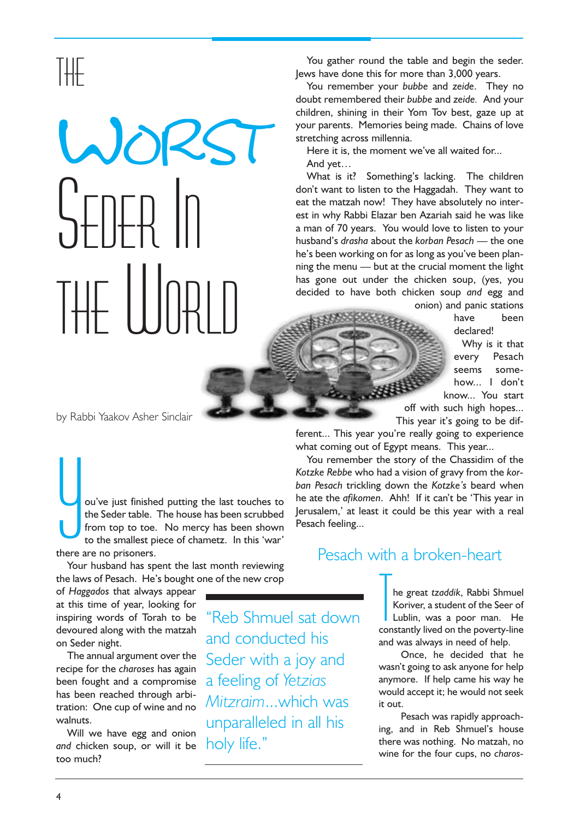# THE

# WORST SEDER IN THE WORLD

You gather round the table and begin the seder. Jews have done this for more than 3,000 years.

You remember your bubbe and zeide. They no doubt remembered their bubbe and zeide. And your children, shining in their Yom Tov best, gaze up at your parents. Memories being made. Chains of love stretching across millennia.

Here it is, the moment we've all waited for... And yet...

What is it? Something's lacking. The children don't want to listen to the Haggadah. They want to eat the matzah now! They have absolutely no interest in why Rabbi Elazar ben Azariah said he was like a man of 70 years. You would love to listen to your husband's drasha about the korban Pesach  $-$  the one he's been working on for as long as you've been planning the menu  $-$  but at the crucial moment the light has gone out under the chicken soup, (yes, you decided to have both chicken soup and egg and onion) and panic stations

have been declared!

Why is it that every Pesach seems somehow... I don't know... You start off with such high hopes...

This year it's going to be dif-

ferent... This year you're really going to experience what coming out of Egypt means. This year...

You remember the story of the Chassidim of the Kotzke Rebbe who had a vision of gravy from the korban Pesach trickling down the Kotzke's beard when he ate the afikomen. Ahh! If it can't be 'This year in Jerusalem,' at least it could be this year with a real Pesach feeling...

by Rabbi Yaakov Asher Sinclair

 $\overline{\bigcup_{\text{there}}\n}$ ou've just finished putting the last touches to the Seder table. The house has been scrubbed from top to toe. No mercy has been shown to the smallest piece of chametz. In this 'war' there are no prisoners.

Your husband has spent the last month reviewing the laws of Pesach. He's bought one of the new crop

of Haggados that always appear at this time of year, looking for inspiring words of Torah to be devoured along with the matzah on Seder night.

The annual argument over the recipe for the charoses has again been fought and a compromise has been reached through arbitration: One cup of wine and no walnuts.

Will we have egg and onion and chicken soup, or will it be too much?

Reb Shmuel sat down and conducted his Seder with a joy and a feeling of Yetzias Mitzraim...which was unparalleled in all his holy life."

### Pesach with a broken-heart

The great *tzaddik*, Rabbi Shmuel<br>Koriver, a student of the Seer of<br>Lublin, was a poor man. He<br>constantly lived on the poverty-line he great tzaddik, Rabbi Shmuel Koriver, a student of the Seer of Lublin, was a poor man. He and was always in need of help.

Once, he decided that he wasn't going to ask anyone for help anymore. If help came his way he would accept it; he would not seek it out.

Pesach was rapidly approaching, and in Reb Shmuel's house there was nothing. No matzah, no wine for the four cups, no charos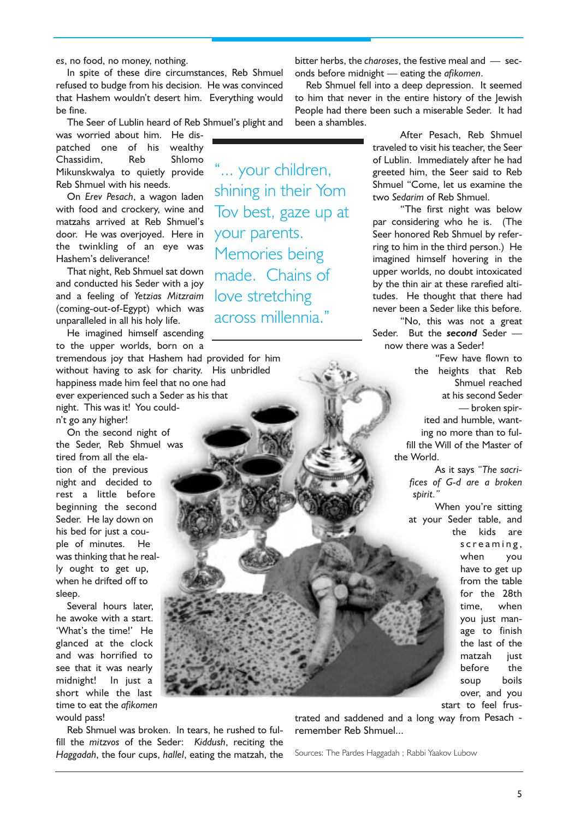es, no food, no money, nothing.

In spite of these dire circumstances, Reb Shmuel refused to budge from his decision. He was convinced that Hashem wouldn't desert him. Everything would be fine.

The Seer of Lublin heard of Reb Shmuel's plight and

... your children,

shining in their Yom

Tov best, gaze up at

your parents.

Memories being

made. Chains of

across millennia.

love stretching

was worried about him. He dispatched one of his wealthy Chassidim, Reb Shlomo Mikunskwalya to quietly provide Reb Shmuel with his needs.

On Erev Pesach, a wagon laden with food and crockery, wine and matzahs arrived at Reb Shmuel's door. He was overjoyed. Here in the twinkling of an eye was Hashem's deliverance!

That night, Reb Shmuel sat down and conducted his Seder with a joy and a feeling of Yetzias Mitzraim (coming-out-of-Egypt) which was unparalleled in all his holy life.

He imagined himself ascending to the upper worlds, born on a

tremendous joy that Hashem had provided for him without having to ask for charity. His unbridled happiness made him feel that no one had ever experienced such a Seder as his that night. This was it! You couldn't go any higher!

On the second night of the Seder, Reb Shmuel was tired from all the elation of the previous night and decided to rest a little before beginning the second Seder. He lay down on his bed for just a couple of minutes. He was thinking that he really ought to get up, when he drifted off to sleep.

Several hours later, he awoke with a start. 'What's the time!' He glanced at the clock and was horrified to see that it was nearly midnight! In just a short while the last time to eat the afikomen would pass!

Reb Shmuel was broken. In tears, he rushed to fulfill the mitzvos of the Seder: Kiddush, reciting the Haggadah, the four cups, hallel, eating the matzah, the bitter herbs, the charoses, the festive meal and  $-$  seconds before midnight  $-$  eating the *afikomen*.

Reb Shmuel fell into a deep depression. It seemed to him that never in the entire history of the Jewish People had there been such a miserable Seder. It had been a shambles.

> After Pesach, Reb Shmuel traveled to visit his teacher, the Seer of Lublin. Immediately after he had greeted him, the Seer said to Reb Shmuel "Come, let us examine the two Sedarim of Reb Shmuel.

> The first night was below par considering who he is. (The Seer honored Reb Shmuel by referring to him in the third person.) He imagined himself hovering in the upper worlds, no doubt intoxicated by the thin air at these rarefied altitudes. He thought that there had never been a Seder like this before.

> "No, this was not a great Seder. But the **second** Seder now there was a Seder!

> > Few have flown to the heights that Reb Shmuel reached at his second Seder broken spirited and humble, wanting no more than to fulfill the Will of the Master of the World.

As it says "The sacrifices of G-d are a broken spirit.

When you're sitting at your Seder table, and the kids are screaming, when you have to get up from the table for the 28th time, when you just manage to finish the last of the matzah iust before the soup boils over, and you start to feel frus-

trated and saddened and a long way from Pesach remember Reb Shmuel...

Sources: The Pardes Haggadah ; Rabbi Yaakov Lubow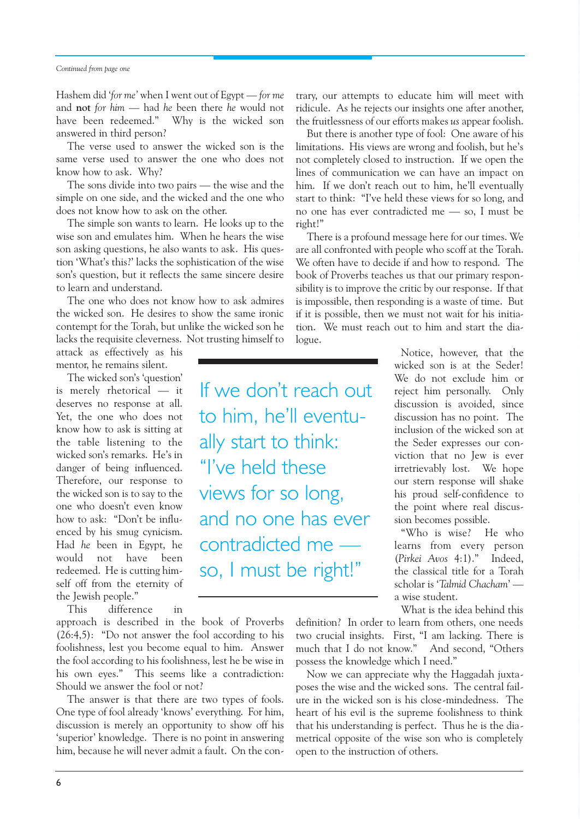### Continued from page one

Hashem did 'for me' when I went out of Egypt  $-$  for me and not for  $him$   $-$  had he been there he would not have been redeemed." Why is the wicked son answered in third person?

The verse used to answer the wicked son is the same verse used to answer the one who does not know how to ask. Why?

The sons divide into two pairs  $-$  the wise and the simple on one side, and the wicked and the one who does not know how to ask on the other.

The simple son wants to learn. He looks up to the wise son and emulates him. When he hears the wise son asking questions, he also wants to ask. His question 'What's this?' lacks the sophistication of the wise son's question, but it reflects the same sincere desire to learn and understand.

The one who does not know how to ask admires the wicked son. He desires to show the same ironic contempt for the Torah, but unlike the wicked son he lacks the requisite cleverness. Not trusting himself to

attack as effectively as his mentor, he remains silent.

The wicked son's 'question' is merely rhetorical - it deserves no response at all. Yet, the one who does not know how to ask is sitting at the table listening to the wicked son's remarks. He's in danger of being influenced. Therefore, our response to the wicked son is to say to the one who doesn't even know how to ask: "Don't be influenced by his smug cynicism. Had he been in Egypt, he would not have been redeemed. He is cutting himself off from the eternity of the Jewish people.

This difference in

approach is described in the book of Proverbs  $(26:4,5)$ : "Do not answer the fool according to his foolishness, lest you become equal to him. Answer the fool according to his foolishness, lest he be wise in his own eyes." This seems like a contradiction: Should we answer the fool or not?

The answer is that there are two types of fools. One type of fool already 'knows' everything. For him, discussion is merely an opportunity to show off his 'superior' knowledge. There is no point in answering him, because he will never admit a fault. On the contrary, our attempts to educate him will meet with ridicule. As he rejects our insights one after another, the fruitlessness of our efforts makes us appear foolish.

But there is another type of fool: One aware of his limitations. His views are wrong and foolish, but he's not completely closed to instruction. If we open the lines of communication we can have an impact on him. If we don't reach out to him, he'll eventually start to think: "I've held these views for so long, and no one has ever contradicted me  $-$  so, I must be right!

There is a profound message here for our times. We are all confronted with people who scoff at the Torah. We often have to decide if and how to respond. The book of Proverbs teaches us that our primary responsibility is to improve the critic by our response. If that is impossible, then responding is a waste of time. But if it is possible, then we must not wait for his initiation. We must reach out to him and start the dialogue.

If we don't reach out to him, he'll eventually start to think: "I've held these views for so long, and no one has ever contradicted me so, I must be right!

Notice, however, that the wicked son is at the Seder! We do not exclude him or reject him personally. Only discussion is avoided, since discussion has no point. The inclusion of the wicked son at the Seder expresses our conviction that no Jew is ever irretrievably lost. We hope our stern response will shake his proud self-confidence to the point where real discussion becomes possible.

Who is wise? He who learns from every person (Pirkei Avos 4:1)." Indeed, the classical title for a Torah scholar is 'Talmid Chacham' a wise student.

What is the idea behind this

definition? In order to learn from others, one needs two crucial insights. First, "I am lacking. There is much that I do not know." And second, "Others possess the knowledge which I need.

Now we can appreciate why the Haggadah juxtaposes the wise and the wicked sons. The central failure in the wicked son is his close-mindedness. The heart of his evil is the supreme foolishness to think that his understanding is perfect. Thus he is the diametrical opposite of the wise son who is completely open to the instruction of others.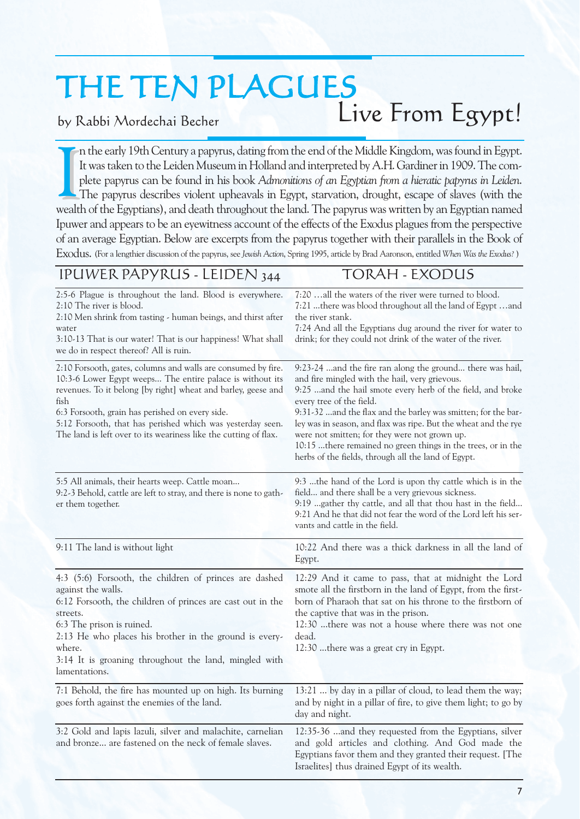# THE TEN PLAGUES

### by Rabbi Mordechai Becher

# Live From Egypt!

It was taken to the Leiden Museum in Holland and interpreted by A.H. Gardiner in 1909. The complete papyrus can be found in his book Admonitions of an Egyptian from a hieratic papyrus in Leiden.<br>The papyrus describes viole n the early 19th Century a papyrus, dating from the end of the Middle Kingdom, was found in Egypt. It was taken to the Leiden Museum in Holland and interpreted by A.H. Gardiner in 1909. The complete papyrus can be found in his book Admonitions of an Egyptian from a hieratic papyrus in Leiden. The papyrus describes violent upheavals in Egypt, starvation, drought, escape of slaves (with the Ipuwer and appears to be an eyewitness account of the effects of the Exodus plagues from the perspective of an average Egyptian. Below are excerpts from the papyrus together with their parallels in the Book of Exodus. (For a lengthier discussion of the papyrus, see Jewish Action, Spring 1995, article by Brad Aaronson, entitled When Was the Exodus? )

## IPUWER PAPYRUS - LEIDEN 344 TORAH - EXODUS

| 2:5-6 Plague is throughout the land. Blood is everywhere.<br>2:10 The river is blood.<br>2:10 Men shrink from tasting - human beings, and thirst after<br>water<br>3:10-13 That is our water! That is our happiness! What shall<br>we do in respect thereof? All is ruin.                                                                                                                | 7:20 all the waters of the river were turned to blood.<br>7:21 there was blood throughout all the land of Egypt and<br>the river stank.<br>7:24 And all the Egyptians dug around the river for water to<br>drink; for they could not drink of the water of the river.                                                                                                                                                                                                                                                |
|------------------------------------------------------------------------------------------------------------------------------------------------------------------------------------------------------------------------------------------------------------------------------------------------------------------------------------------------------------------------------------------|----------------------------------------------------------------------------------------------------------------------------------------------------------------------------------------------------------------------------------------------------------------------------------------------------------------------------------------------------------------------------------------------------------------------------------------------------------------------------------------------------------------------|
| 2:10 Forsooth, gates, columns and walls are consumed by fire.<br>10:3-6 Lower Egypt weeps The entire palace is without its<br>revenues. To it belong [by right] wheat and barley, geese and<br>fish<br>6:3 Forsooth, grain has perished on every side.<br>5:12 Forsooth, that has perished which was yesterday seen.<br>The land is left over to its weariness like the cutting of flax. | 9:23-24  and the fire ran along the ground there was hail,<br>and fire mingled with the hail, very grievous.<br>9:25  and the hail smote every herb of the field, and broke<br>every tree of the field.<br>9:31-32  and the flax and the barley was smitten; for the bar-<br>ley was in season, and flax was ripe. But the wheat and the rye<br>were not smitten; for they were not grown up.<br>10:15 there remained no green things in the trees, or in the<br>herbs of the fields, through all the land of Egypt. |
| 5:5 All animals, their hearts weep. Cattle moan<br>9:2-3 Behold, cattle are left to stray, and there is none to gath-<br>er them together.                                                                                                                                                                                                                                               | 9:3 the hand of the Lord is upon thy cattle which is in the<br>field and there shall be a very grievous sickness.<br>9:19  gather thy cattle, and all that thou hast in the field<br>9:21 And he that did not fear the word of the Lord left his ser-<br>vants and cattle in the field.                                                                                                                                                                                                                              |
| 9:11 The land is without light                                                                                                                                                                                                                                                                                                                                                           | 10:22 And there was a thick darkness in all the land of<br>Egypt.                                                                                                                                                                                                                                                                                                                                                                                                                                                    |
| 4:3 (5:6) Forsooth, the children of princes are dashed<br>against the walls.<br>6:12 Forsooth, the children of princes are cast out in the<br>streets.<br>6:3 The prison is ruined.<br>2:13 He who places his brother in the ground is every-<br>where.<br>3:14 It is groaning throughout the land, mingled with<br>lamentations.                                                        | 12:29 And it came to pass, that at midnight the Lord<br>smote all the firstborn in the land of Egypt, from the first-<br>born of Pharaoh that sat on his throne to the firstborn of<br>the captive that was in the prison.<br>12:30 there was not a house where there was not one<br>dead.<br>12:30  there was a great cry in Egypt.                                                                                                                                                                                 |
| 7:1 Behold, the fire has mounted up on high. Its burning<br>goes forth against the enemies of the land.                                                                                                                                                                                                                                                                                  | 13:21  by day in a pillar of cloud, to lead them the way;<br>and by night in a pillar of fire, to give them light; to go by<br>day and night.                                                                                                                                                                                                                                                                                                                                                                        |
| 3:2 Gold and lapis lazuli, silver and malachite, carnelian<br>and bronze are fastened on the neck of female slaves.                                                                                                                                                                                                                                                                      | 12:35-36  and they requested from the Egyptians, silver<br>and gold articles and clothing. And God made the<br>Egyptians favor them and they granted their request. [The<br>Israelites] thus drained Egypt of its wealth.                                                                                                                                                                                                                                                                                            |